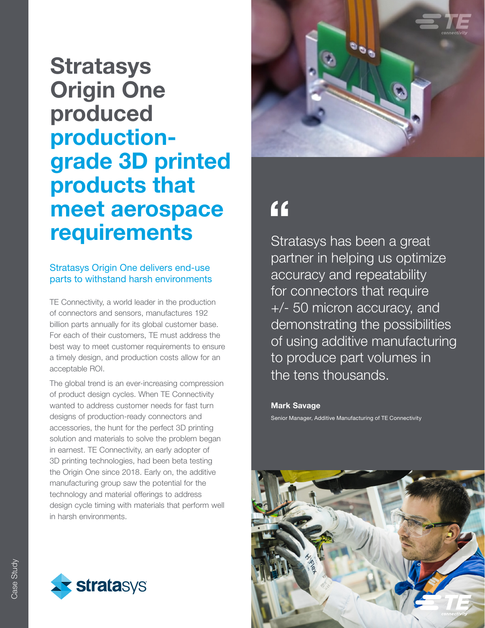### **Stratasys** Origin One produced productiongrade 3D printed products that meet aerospace requirements

### Stratasys Origin One delivers end-use parts to withstand harsh environments

TE Connectivity, a world leader in the production of connectors and sensors, manufactures 192 billion parts annually for its global customer base. For each of their customers, TE must address the best way to meet customer requirements to ensure a timely design, and production costs allow for an acceptable ROI.

The global trend is an ever-increasing compression of product design cycles. When TE Connectivity wanted to address customer needs for fast turn designs of production-ready connectors and accessories, the hunt for the perfect 3D printing solution and materials to solve the problem began in earnest. TE Connectivity, an early adopter of 3D printing technologies, had been beta testing the Origin One since 2018. Early on, the additive manufacturing group saw the potential for the technology and material offerings to address design cycle timing with materials that perform well in harsh environments.





### $f$

Stratasys has been a great partner in helping us optimize accuracy and repeatability for connectors that require +/- 50 micron accuracy, and demonstrating the possibilities of using additive manufacturing to produce part volumes in the tens thousands.

Mark Savage Senior Manager, Additive Manufacturing of TE Connectivity

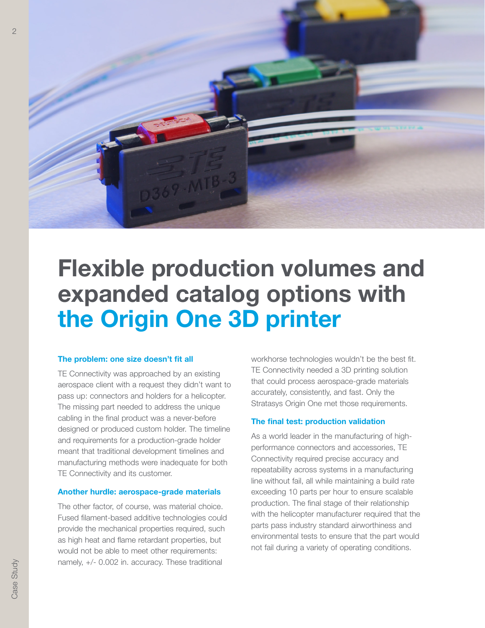

# Flexible production volumes and expanded catalog options with the Origin One 3D printer

#### The problem: one size doesn't fit all

TE Connectivity was approached by an existing aerospace client with a request they didn't want to pass up: connectors and holders for a helicopter. The missing part needed to address the unique cabling in the final product was a never-before designed or produced custom holder. The timeline and requirements for a production-grade holder meant that traditional development timelines and manufacturing methods were inadequate for both TE Connectivity and its customer.

#### Another hurdle: aerospace-grade materials

The other factor, of course, was material choice. Fused filament-based additive technologies could provide the mechanical properties required, such as high heat and flame retardant properties, but would not be able to meet other requirements: namely, +/- 0.002 in. accuracy. These traditional

workhorse technologies wouldn't be the best fit. TE Connectivity needed a 3D printing solution that could process aerospace-grade materials accurately, consistently, and fast. Only the Stratasys Origin One met those requirements.

#### The final test: production validation

As a world leader in the manufacturing of highperformance connectors and accessories, TE Connectivity required precise accuracy and repeatability across systems in a manufacturing line without fail, all while maintaining a build rate exceeding 10 parts per hour to ensure scalable production. The final stage of their relationship with the helicopter manufacturer required that the parts pass industry standard airworthiness and environmental tests to ensure that the part would not fail during a variety of operating conditions.